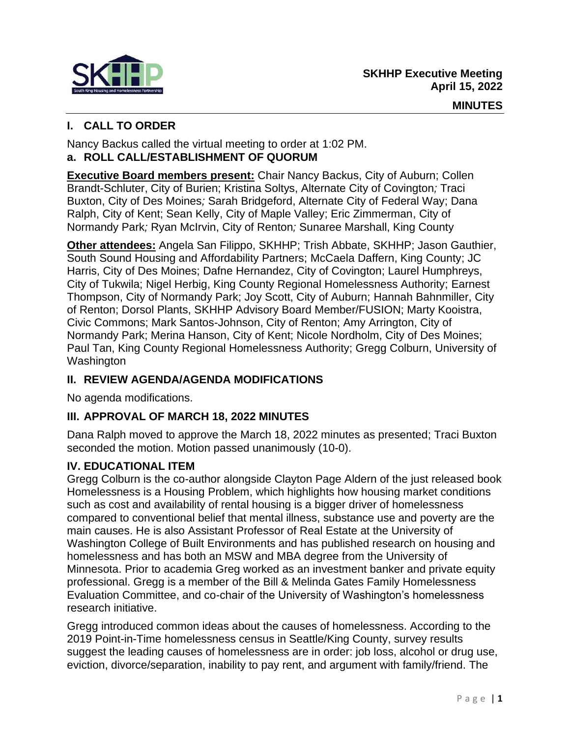

# **I. CALL TO ORDER**

Nancy Backus called the virtual meeting to order at 1:02 PM. **a. ROLL CALL/ESTABLISHMENT OF QUORUM**

**Executive Board members present:** Chair Nancy Backus, City of Auburn; Collen Brandt-Schluter, City of Burien; Kristina Soltys, Alternate City of Covington*;* Traci Buxton, City of Des Moines*;* Sarah Bridgeford, Alternate City of Federal Way; Dana Ralph, City of Kent; Sean Kelly, City of Maple Valley; Eric Zimmerman, City of Normandy Park*;* Ryan McIrvin, City of Renton*;* Sunaree Marshall, King County

**Other attendees:** Angela San Filippo, SKHHP; Trish Abbate, SKHHP; Jason Gauthier, South Sound Housing and Affordability Partners; McCaela Daffern, King County; JC Harris, City of Des Moines; Dafne Hernandez, City of Covington; Laurel Humphreys, City of Tukwila; Nigel Herbig, King County Regional Homelessness Authority; Earnest Thompson, City of Normandy Park; Joy Scott, City of Auburn; Hannah Bahnmiller, City of Renton; Dorsol Plants, SKHHP Advisory Board Member/FUSION; Marty Kooistra, Civic Commons; Mark Santos-Johnson, City of Renton; Amy Arrington, City of Normandy Park; Merina Hanson, City of Kent; Nicole Nordholm, City of Des Moines; Paul Tan, King County Regional Homelessness Authority; Gregg Colburn, University of Washington

## **II. REVIEW AGENDA/AGENDA MODIFICATIONS**

No agenda modifications.

## **III. APPROVAL OF MARCH 18, 2022 MINUTES**

Dana Ralph moved to approve the March 18, 2022 minutes as presented; Traci Buxton seconded the motion. Motion passed unanimously (10-0).

# **IV. EDUCATIONAL ITEM**

Gregg Colburn is the co-author alongside Clayton Page Aldern of the just released book Homelessness is a Housing Problem, which highlights how housing market conditions such as cost and availability of rental housing is a bigger driver of homelessness compared to conventional belief that mental illness, substance use and poverty are the main causes. He is also Assistant Professor of Real Estate at the University of Washington College of Built Environments and has published research on housing and homelessness and has both an MSW and MBA degree from the University of Minnesota. Prior to academia Greg worked as an investment banker and private equity professional. Gregg is a member of the Bill & Melinda Gates Family Homelessness Evaluation Committee, and co-chair of the University of Washington's homelessness research initiative.

Gregg introduced common ideas about the causes of homelessness. According to the 2019 Point-in-Time homelessness census in Seattle/King County, survey results suggest the leading causes of homelessness are in order: job loss, alcohol or drug use, eviction, divorce/separation, inability to pay rent, and argument with family/friend. The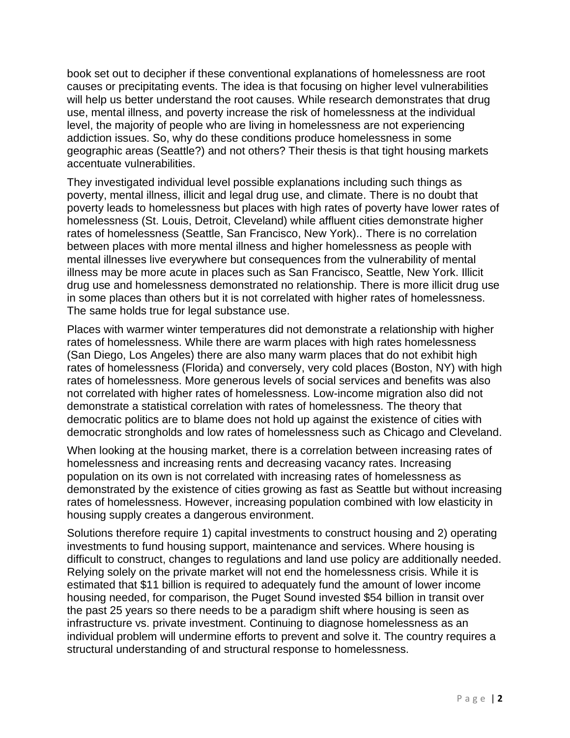book set out to decipher if these conventional explanations of homelessness are root causes or precipitating events. The idea is that focusing on higher level vulnerabilities will help us better understand the root causes. While research demonstrates that drug use, mental illness, and poverty increase the risk of homelessness at the individual level, the majority of people who are living in homelessness are not experiencing addiction issues. So, why do these conditions produce homelessness in some geographic areas (Seattle?) and not others? Their thesis is that tight housing markets accentuate vulnerabilities.

They investigated individual level possible explanations including such things as poverty, mental illness, illicit and legal drug use, and climate. There is no doubt that poverty leads to homelessness but places with high rates of poverty have lower rates of homelessness (St. Louis, Detroit, Cleveland) while affluent cities demonstrate higher rates of homelessness (Seattle, San Francisco, New York).. There is no correlation between places with more mental illness and higher homelessness as people with mental illnesses live everywhere but consequences from the vulnerability of mental illness may be more acute in places such as San Francisco, Seattle, New York. Illicit drug use and homelessness demonstrated no relationship. There is more illicit drug use in some places than others but it is not correlated with higher rates of homelessness. The same holds true for legal substance use.

Places with warmer winter temperatures did not demonstrate a relationship with higher rates of homelessness. While there are warm places with high rates homelessness (San Diego, Los Angeles) there are also many warm places that do not exhibit high rates of homelessness (Florida) and conversely, very cold places (Boston, NY) with high rates of homelessness. More generous levels of social services and benefits was also not correlated with higher rates of homelessness. Low-income migration also did not demonstrate a statistical correlation with rates of homelessness. The theory that democratic politics are to blame does not hold up against the existence of cities with democratic strongholds and low rates of homelessness such as Chicago and Cleveland.

When looking at the housing market, there is a correlation between increasing rates of homelessness and increasing rents and decreasing vacancy rates. Increasing population on its own is not correlated with increasing rates of homelessness as demonstrated by the existence of cities growing as fast as Seattle but without increasing rates of homelessness. However, increasing population combined with low elasticity in housing supply creates a dangerous environment.

Solutions therefore require 1) capital investments to construct housing and 2) operating investments to fund housing support, maintenance and services. Where housing is difficult to construct, changes to regulations and land use policy are additionally needed. Relying solely on the private market will not end the homelessness crisis. While it is estimated that \$11 billion is required to adequately fund the amount of lower income housing needed, for comparison, the Puget Sound invested \$54 billion in transit over the past 25 years so there needs to be a paradigm shift where housing is seen as infrastructure vs. private investment. Continuing to diagnose homelessness as an individual problem will undermine efforts to prevent and solve it. The country requires a structural understanding of and structural response to homelessness.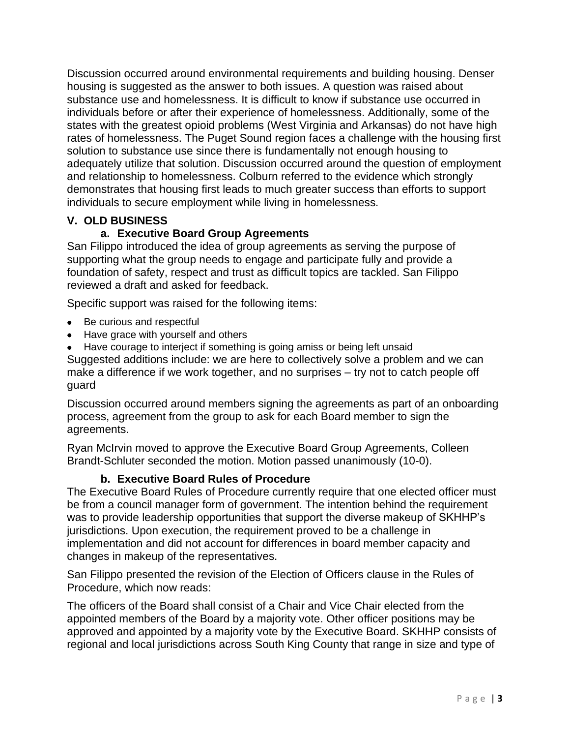Discussion occurred around environmental requirements and building housing. Denser housing is suggested as the answer to both issues. A question was raised about substance use and homelessness. It is difficult to know if substance use occurred in individuals before or after their experience of homelessness. Additionally, some of the states with the greatest opioid problems (West Virginia and Arkansas) do not have high rates of homelessness. The Puget Sound region faces a challenge with the housing first solution to substance use since there is fundamentally not enough housing to adequately utilize that solution. Discussion occurred around the question of employment and relationship to homelessness. Colburn referred to the evidence which strongly demonstrates that housing first leads to much greater success than efforts to support individuals to secure employment while living in homelessness.

## **V. OLD BUSINESS**

## **a. Executive Board Group Agreements**

San Filippo introduced the idea of group agreements as serving the purpose of supporting what the group needs to engage and participate fully and provide a foundation of safety, respect and trust as difficult topics are tackled. San Filippo reviewed a draft and asked for feedback.

Specific support was raised for the following items:

- Be curious and respectful
- Have grace with yourself and others
- Have courage to interject if something is going amiss or being left unsaid

Suggested additions include: we are here to collectively solve a problem and we can make a difference if we work together, and no surprises – try not to catch people off guard

Discussion occurred around members signing the agreements as part of an onboarding process, agreement from the group to ask for each Board member to sign the agreements.

Ryan McIrvin moved to approve the Executive Board Group Agreements, Colleen Brandt-Schluter seconded the motion. Motion passed unanimously (10-0).

#### **b. Executive Board Rules of Procedure**

The Executive Board Rules of Procedure currently require that one elected officer must be from a council manager form of government. The intention behind the requirement was to provide leadership opportunities that support the diverse makeup of SKHHP's jurisdictions. Upon execution, the requirement proved to be a challenge in implementation and did not account for differences in board member capacity and changes in makeup of the representatives.

San Filippo presented the revision of the Election of Officers clause in the Rules of Procedure, which now reads:

The officers of the Board shall consist of a Chair and Vice Chair elected from the appointed members of the Board by a majority vote. Other officer positions may be approved and appointed by a majority vote by the Executive Board. SKHHP consists of regional and local jurisdictions across South King County that range in size and type of